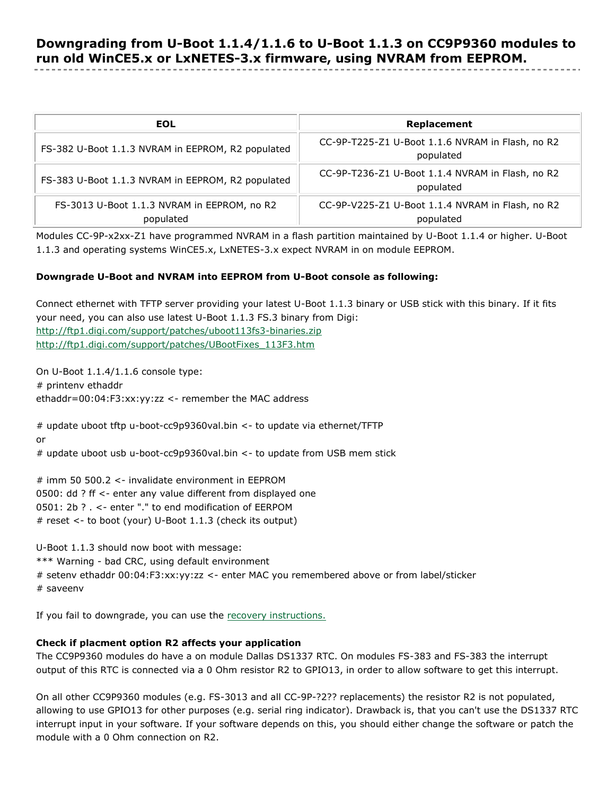| EOL                                                      | Replacement                                                   |
|----------------------------------------------------------|---------------------------------------------------------------|
| FS-382 U-Boot 1.1.3 NVRAM in EEPROM, R2 populated        | CC-9P-T225-Z1 U-Boot 1.1.6 NVRAM in Flash, no R2<br>populated |
| FS-383 U-Boot 1.1.3 NVRAM in EEPROM, R2 populated        | CC-9P-T236-Z1 U-Boot 1.1.4 NVRAM in Flash, no R2<br>populated |
| FS-3013 U-Boot 1.1.3 NVRAM in EEPROM, no R2<br>populated | CC-9P-V225-Z1 U-Boot 1.1.4 NVRAM in Flash, no R2<br>populated |

Modules CC-9P-x2xx-Z1 have programmed NVRAM in a flash partition maintained by U-Boot 1.1.4 or higher. U-Boot 1.1.3 and operating systems WinCE5.x, LxNETES-3.x expect NVRAM in on module EEPROM.

## **Downgrade U-Boot and NVRAM into EEPROM from U-Boot console as following:**

Connect ethernet with TFTP server providing your latest U-Boot 1.1.3 binary or USB stick with this binary. If it fits your need, you can also use latest U-Boot 1.1.3 FS.3 binary from Digi: <http://ftp1.digi.com/support/patches/uboot113fs3-binaries.zip> [http://ftp1.digi.com/support/patches/UBootFixes\\_113F3.htm](http://ftp1.digi.com/support/patches/UBootFixes_113F3.htm)

On U-Boot 1.1.4/1.1.6 console type: # printenv ethaddr ethaddr=00:04:F3:xx:yy:zz <- remember the MAC address

# update uboot tftp u-boot-cc9p9360val.bin <- to update via ethernet/TFTP or # update uboot usb u-boot-cc9p9360val.bin <- to update from USB mem stick

# imm 50 500.2 <- invalidate environment in EEPROM 0500: dd ? ff <- enter any value different from displayed one 0501: 2b ? . <- enter "." to end modification of EERPOM # reset <- to boot (your) U-Boot 1.1.3 (check its output)

U-Boot 1.1.3 should now boot with message: \*\*\* Warning - bad CRC, using default environment # setenv ethaddr 00:04:F3:xx:yy:zz <- enter MAC you remembered above or from label/sticker # saveenv

If you fail to downgrade, you can use the [recovery instructions.](http://ftp1.digi.com/support/documentation/ubootrecover.zip)

## **Check if placment option R2 affects your application**

The CC9P9360 modules do have a on module Dallas DS1337 RTC. On modules FS-383 and FS-383 the interrupt output of this RTC is connected via a 0 Ohm resistor R2 to GPIO13, in order to allow software to get this interrupt.

On all other CC9P9360 modules (e.g. FS-3013 and all CC-9P-?2?? replacements) the resistor R2 is not populated, allowing to use GPIO13 for other purposes (e.g. serial ring indicator). Drawback is, that you can't use the DS1337 RTC interrupt input in your software. If your software depends on this, you should either change the software or patch the module with a 0 Ohm connection on R2.